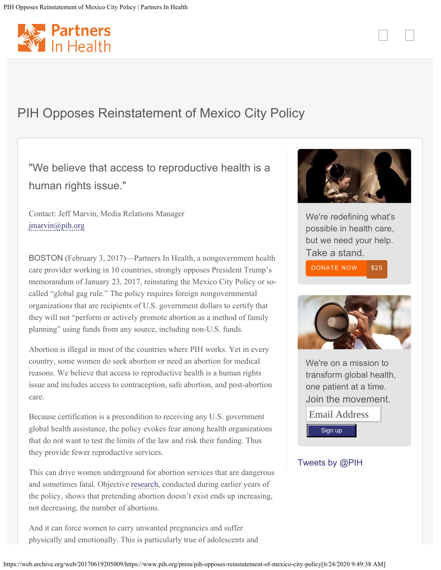<span id="page-0-0"></span>

## PIH Opposes Reinstatement of Mexico City Policy

## "We believe that access to reproductive health is a human rights issue."

Contact: Jeff Marvin, Media Relations Manager [jmarvin@pih.org](https://web.archive.org/web/20170619205009/mailto:jmarvin@pih.org?subject=Media-%20PIH%20Opposes%20Reinstatement%20of%20Mexico%20City%20Policy)

BOSTON (February 3, 2017)—Partners In Health, a nongovernment health care provider working in 10 countries, strongly opposes President Trump's memorandum of January 23, 2017, reinstating the Mexico City Policy or socalled "global gag rule." The policy requires foreign nongovernmental organizations that are recipients of U.S. government dollars to certify that they will not "perform or actively promote abortion as a method of family planning" using funds from any source, including non-U.S. funds.

Abortion is illegal in most of the countries where PIH works. Yet in every country, some women do seek abortion or need an abortion for medical reasons. We believe that access to reproductive health is a human rights issue and includes access to contraception, safe abortion, and post-abortion care.

Because certification is a precondition to receiving any U.S. government global health assistance, the policy evokes fear among health organizations that do not want to test the limits of the law and risk their funding. Thus they provide fewer reproductive services.

This can drive women underground for abortion services that are dangerous and sometimes fatal. Objective [research](https://web.archive.org/web/20170619205009/http://www.who.int/bulletin/volumes/89/12/11-091660/en/), conducted during earlier years of the policy, shows that pretending abortion doesn't exist ends up increasing, not decreasing, the number of abortions.

And it can force women to carry unwanted pregnancies and suffer physically and emotionally. This is particularly true of adolescents and



We're redefining what's possible in health care, but we need your help. Take a stand. [DONATE NOW](https://web.archive.org/web/20170619205009/https://www.pih.org/page/contribute/donate?subsource=tout_pages) [\\$25](https://web.archive.org/web/20170619205009/https://www.pih.org/page/contribute/donate?subsource=tout_pages)



We're on a mission to transform global health, one patient at a time. Join the movement.

Email Address Sign up

## [Tweets by @PIH](https://web.archive.org/web/20170619205009/https://twitter.com/PIH)